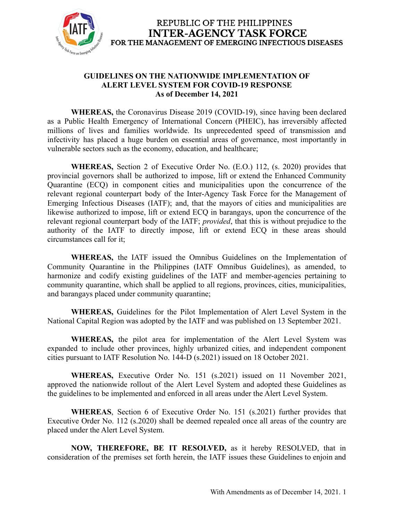

#### **GUIDELINES ON THE NATIONWIDE IMPLEMENTATION OF ALERT LEVEL SYSTEM FOR COVID-19 RESPONSE As of December 14, 2021**

**WHEREAS,** the Coronavirus Disease 2019 (COVID-19), since having been declared as a Public Health Emergency of International Concern (PHEIC), has irreversibly affected millions of lives and families worldwide. Its unprecedented speed of transmission and infectivity has placed a huge burden on essential areas of governance, most importantly in vulnerable sectors such as the economy, education, and healthcare;

**WHEREAS,** Section 2 of Executive Order No. (E.O.) 112, (s. 2020) provides that provincial governors shall be authorized to impose, lift or extend the Enhanced Community Quarantine (ECQ) in component cities and municipalities upon the concurrence of the relevant regional counterpart body of the Inter-Agency Task Force for the Management of Emerging Infectious Diseases (IATF); and, that the mayors of cities and municipalities are likewise authorized to impose, lift or extend ECQ in barangays, upon the concurrence of the relevant regional counterpart body of the IATF; *provided*, that this is without prejudice to the authority of the IATF to directly impose, lift or extend ECQ in these areas should circumstances call for it;

**WHEREAS,** the IATF issued the Omnibus Guidelines on the Implementation of Community Quarantine in the Philippines (IATF Omnibus Guidelines), as amended, to harmonize and codify existing guidelines of the IATF and member-agencies pertaining to community quarantine, which shall be applied to all regions, provinces, cities, municipalities, and barangays placed under community quarantine;

**WHEREAS,** Guidelines for the Pilot Implementation of Alert Level System in the National Capital Region was adopted by the IATF and was published on 13 September 2021.

**WHEREAS,** the pilot area for implementation of the Alert Level System was expanded to include other provinces, highly urbanized cities, and independent component cities pursuant to IATF Resolution No. 144-D (s.2021) issued on 18 October 2021.

**WHEREAS,** Executive Order No. 151 (s.2021) issued on 11 November 2021, approved the nationwide rollout of the Alert Level System and adopted these Guidelines as the guidelines to be implemented and enforced in all areas under the Alert Level System.

**WHEREAS**, Section 6 of Executive Order No. 151 (s.2021) further provides that Executive Order No. 112 (s.2020) shall be deemed repealed once all areas of the country are placed under the Alert Level System.

**NOW, THEREFORE, BE IT RESOLVED,** as it hereby RESOLVED, that in consideration of the premises set forth herein, the IATF issues these Guidelines to enjoin and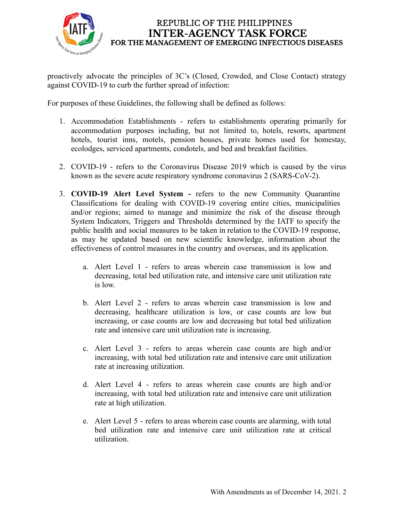

proactively advocate the principles of 3C's (Closed, Crowded, and Close Contact) strategy against COVID-19 to curb the further spread of infection:

For purposes of these Guidelines, the following shall be defined as follows:

- 1. Accommodation Establishments refers to establishments operating primarily for accommodation purposes including, but not limited to, hotels, resorts, apartment hotels, tourist inns, motels, pension houses, private homes used for homestay, ecolodges, serviced apartments, condotels, and bed and breakfast facilities.
- 2. COVID-19 refers to the Coronavirus Disease 2019 which is caused by the virus known as the severe acute respiratory syndrome coronavirus 2 (SARS-CoV-2).
- 3. **COVID-19 Alert Level System -** refers to the new Community Quarantine Classifications for dealing with COVID-19 covering entire cities, municipalities and/or regions; aimed to manage and minimize the risk of the disease through System Indicators, Triggers and Thresholds determined by the IATF to specify the public health and social measures to be taken in relation to the COVID-19 response, as may be updated based on new scientific knowledge, information about the effectiveness of control measures in the country and overseas, and its application.
	- a. Alert Level 1 refers to areas wherein case transmission is low and decreasing, total bed utilization rate, and intensive care unit utilization rate is low.
	- b. Alert Level 2 refers to areas wherein case transmission is low and decreasing, healthcare utilization is low, or case counts are low but increasing, or case counts are low and decreasing but total bed utilization rate and intensive care unit utilization rate is increasing.
	- c. Alert Level 3 refers to areas wherein case counts are high and/or increasing, with total bed utilization rate and intensive care unit utilization rate at increasing utilization.
	- d. Alert Level 4 refers to areas wherein case counts are high and/or increasing, with total bed utilization rate and intensive care unit utilization rate at high utilization.
	- e. Alert Level 5 refers to areas wherein case counts are alarming, with total bed utilization rate and intensive care unit utilization rate at critical utilization.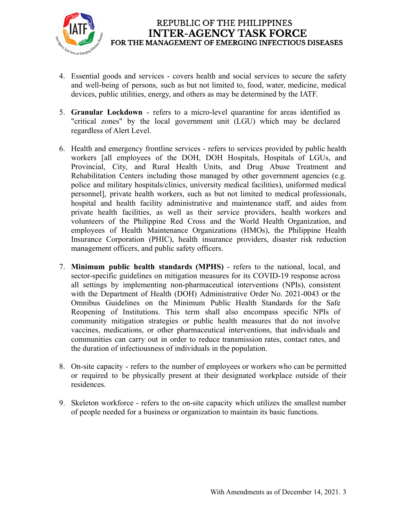

- 4. Essential goods and services covers health and social services to secure the safety and well-being of persons, such as but not limited to, food, water, medicine, medical devices, public utilities, energy, and others as may be determined by the IATF.
- 5. **Granular Lockdown** refers to a micro-level quarantine for areas identified as "critical zones" by the local government unit (LGU) which may be declared regardless of Alert Level.
- 6. Health and emergency frontline services refers to services provided by public health workers [all employees of the DOH, DOH Hospitals, Hospitals of LGUs, and Provincial, City, and Rural Health Units, and Drug Abuse Treatment and Rehabilitation Centers including those managed by other government agencies (e.g. police and military hospitals/clinics, university medical facilities), uniformed medical personnel], private health workers, such as but not limited to medical professionals, hospital and health facility administrative and maintenance staff, and aides from private health facilities, as well as their service providers, health workers and volunteers of the Philippine Red Cross and the World Health Organization, and employees of Health Maintenance Organizations (HMOs), the Philippine Health Insurance Corporation (PHIC), health insurance providers, disaster risk reduction management officers, and public safety officers.
- 7. **Minimum public health standards (MPHS)** refers to the national, local, and sector-specific guidelines on mitigation measures for its COVID-19 response across all settings by implementing non-pharmaceutical interventions (NPIs), consistent with the Department of Health (DOH) Administrative Order No. 2021-0043 or the Omnibus Guidelines on the Minimum Public Health Standards for the Safe Reopening of Institutions. This term shall also encompass specific NPIs of community mitigation strategies or public health measures that do not involve vaccines, medications, or other pharmaceutical interventions, that individuals and communities can carry out in order to reduce transmission rates, contact rates, and the duration of infectiousness of individuals in the population.
- 8. On-site capacity refers to the number of employees or workers who can be permitted or required to be physically present at their designated workplace outside of their residences.
- 9. Skeleton workforce refers to the on-site capacity which utilizes the [smallest](https://dictionary.cambridge.org/us/dictionary/english/small) [number](https://dictionary.cambridge.org/us/dictionary/english/number) of [people](https://dictionary.cambridge.org/us/dictionary/english/people) [needed](https://dictionary.cambridge.org/us/dictionary/english/needed) for a [business](https://dictionary.cambridge.org/us/dictionary/english/business) or [organization](https://dictionary.cambridge.org/us/dictionary/english/organization) to maintain its basic functions.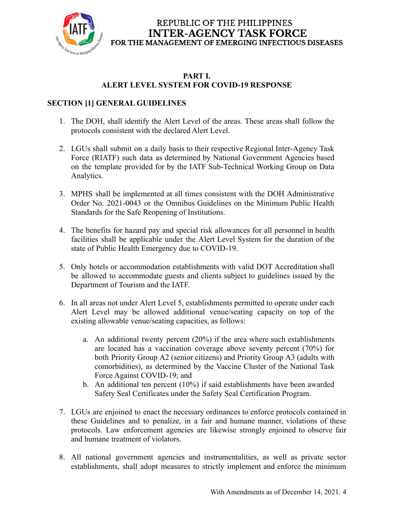

#### **PART I. ALERT LEVEL SYSTEM FOR COVID-19 RESPONSE**

# **SECTION [1] GENERAL GUIDELINES**

- 1. The DOH, shall identify the Alert Level of the areas. These areas shall follow the protocols consistent with the declared Alert Level.
- 2. LGUs shall submit on a daily basis to their respective Regional Inter-Agency Task Force (RIATF) such data as determined by National Government Agencies based on the template provided for by the IATF Sub-Technical Working Group on Data Analytics.
- 3. MPHS shall be implemented at all times consistent with the DOH Administrative Order No. 2021-0043 or the Omnibus Guidelines on the Minimum Public Health Standards for the Safe Reopening of Institutions.
- 4. The benefits for hazard pay and special risk allowances for all personnel in health facilities shall be applicable under the Alert Level System for the duration of the state of Public Health Emergency due to COVID-19.
- 5. Only hotels or accommodation establishments with valid DOT Accreditation shall be allowed to accommodate guests and clients subject to guidelines issued by the Department of Tourism and the IATF.
- 6. In all areas not under Alert Level 5, establishments permitted to operate under each Alert Level may be allowed additional venue/seating capacity on top of the existing allowable venue/seating capacities, as follows:
	- a. An additional twenty percent (20%) if the area where such establishments are located has a vaccination coverage above seventy percent (70%) for both Priority Group A2 (senior citizens) and Priority Group A3 (adults with comorbidities), as determined by the Vaccine Cluster of the National Task Force Against COVID-19; and
	- b. An additional ten percent (10%) if said establishments have been awarded Safety Seal Certificates under the Safety Seal Certification Program.
- 7. LGUs are enjoined to enact the necessary ordinances to enforce protocols contained in these Guidelines and to penalize, in a fair and humane manner, violations of these protocols. Law enforcement agencies are likewise strongly enjoined to observe fair and humane treatment of violators.
- 8. All national government agencies and instrumentalities, as well as private sector establishments, shall adopt measures to strictly implement and enforce the minimum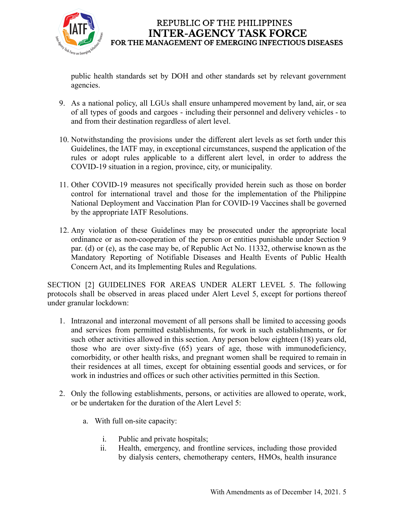

public health standards set by DOH and other standards set by relevant government agencies.

- 9. As a national policy, all LGUs shall ensure unhampered movement by land, air, or sea of all types of goods and cargoes - including their personnel and delivery vehicles - to and from their destination regardless of alert level.
- 10. Notwithstanding the provisions under the different alert levels as set forth under this Guidelines, the IATF may, in exceptional circumstances, suspend the application of the rules or adopt rules applicable to a different alert level, in order to address the COVID-19 situation in a region, province, city, or municipality.
- 11. Other COVID-19 measures not specifically provided herein such as those on border control for international travel and those for the implementation of the Philippine National Deployment and Vaccination Plan for COVID-19 Vaccines shall be governed by the appropriate IATF Resolutions.
- 12. Any violation of these Guidelines may be prosecuted under the appropriate local ordinance or as non-cooperation of the person or entities punishable under Section 9 par. (d) or (e), as the case may be, of Republic Act No. 11332, otherwise known as the Mandatory Reporting of Notifiable Diseases and Health Events of Public Health Concern Act, and its Implementing Rules and Regulations.

SECTION [2] GUIDELINES FOR AREAS UNDER ALERT LEVEL 5. The following protocols shall be observed in areas placed under Alert Level 5, except for portions thereof under granular lockdown:

- 1. Intrazonal and interzonal movement of all persons shall be limited to accessing goods and services from permitted establishments, for work in such establishments, or for such other activities allowed in this section. Any person below eighteen (18) years old, those who are over sixty-five (65) years of age, those with immunodeficiency, comorbidity, or other health risks, and pregnant women shall be required to remain in their residences at all times, except for obtaining essential goods and services, or for work in industries and offices or such other activities permitted in this Section.
- 2. Only the following establishments, persons, or activities are allowed to operate, work, or be undertaken for the duration of the Alert Level 5:
	- a. With full on-site capacity:
		- i. Public and private hospitals;
		- ii. Health, emergency, and frontline services, including those provided by dialysis centers, chemotherapy centers, HMOs, health insurance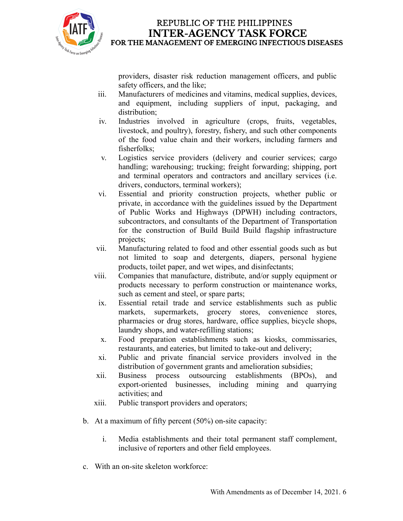

providers, disaster risk reduction management officers, and public safety officers, and the like;

- iii. Manufacturers of medicines and vitamins, medical supplies, devices, and equipment, including suppliers of input, packaging, and distribution;
- iv. Industries involved in agriculture (crops, fruits, vegetables, livestock, and poultry), forestry, fishery, and such other components of the food value chain and their workers, including farmers and fisherfolks;
- v. Logistics service providers (delivery and courier services; cargo handling; warehousing; trucking; freight forwarding; shipping, port and terminal operators and contractors and ancillary services (i.e. drivers, conductors, terminal workers);
- vi. Essential and priority construction projects, whether public or private, in accordance with the guidelines issued by the Department of Public Works and Highways (DPWH) including contractors, subcontractors, and consultants of the Department of Transportation for the construction of Build Build Build flagship infrastructure projects;
- vii. Manufacturing related to food and other essential goods such as but not limited to soap and detergents, diapers, personal hygiene products, toilet paper, and wet wipes, and disinfectants;
- viii. Companies that manufacture, distribute, and/or supply equipment or products necessary to perform construction or maintenance works, such as cement and steel, or spare parts;
- ix. Essential retail trade and service establishments such as public markets, supermarkets, grocery stores, convenience stores, pharmacies or drug stores, hardware, office supplies, bicycle shops, laundry shops, and water-refilling stations;
- x. Food preparation establishments such as kiosks, commissaries, restaurants, and eateries, but limited to take-out and delivery;
- xi. Public and private financial service providers involved in the distribution of government grants and amelioration subsidies;
- xii. Business process outsourcing establishments (BPOs), and export-oriented businesses, including mining and quarrying activities; and
- xiii. Public transport providers and operators;
- b. At a maximum of fifty percent (50%) on-site capacity:
	- i. Media establishments and their total permanent staff complement, inclusive of reporters and other field employees.
- c. With an on-site skeleton workforce: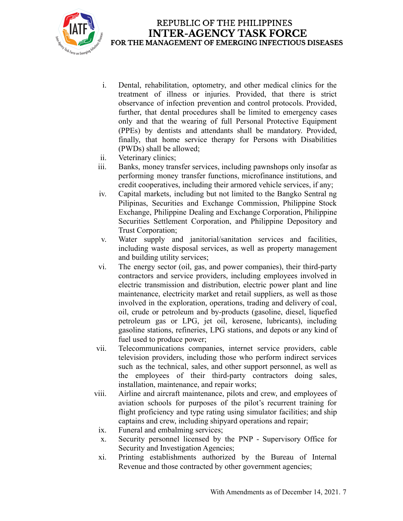

- i. Dental, rehabilitation, optometry, and other medical clinics for the treatment of illness or injuries. Provided, that there is strict observance of infection prevention and control protocols. Provided, further, that dental procedures shall be limited to emergency cases only and that the wearing of full Personal Protective Equipment (PPEs) by dentists and attendants shall be mandatory. Provided, finally, that home service therapy for Persons with Disabilities (PWDs) shall be allowed;
- ii. Veterinary clinics;
- iii. Banks, money transfer services, including pawnshops only insofar as performing money transfer functions, microfinance institutions, and credit cooperatives, including their armored vehicle services, if any;
- iv. Capital markets, including but not limited to the Bangko Sentral ng Pilipinas, Securities and Exchange Commission, Philippine Stock Exchange, Philippine Dealing and Exchange Corporation, Philippine Securities Settlement Corporation, and Philippine Depository and Trust Corporation;
- v. Water supply and janitorial/sanitation services and facilities, including waste disposal services, as well as property management and building utility services;
- vi. The energy sector (oil, gas, and power companies), their third-party contractors and service providers, including employees involved in electric transmission and distribution, electric power plant and line maintenance, electricity market and retail suppliers, as well as those involved in the exploration, operations, trading and delivery of coal, oil, crude or petroleum and by-products (gasoline, diesel, liquefied petroleum gas or LPG, jet oil, kerosene, lubricants), including gasoline stations, refineries, LPG stations, and depots or any kind of fuel used to produce power;
- vii. Telecommunications companies, internet service providers, cable television providers, including those who perform indirect services such as the technical, sales, and other support personnel, as well as the employees of their third-party contractors doing sales, installation, maintenance, and repair works;
- viii. Airline and aircraft maintenance, pilots and crew, and employees of aviation schools for purposes of the pilot's recurrent training for flight proficiency and type rating using simulator facilities; and ship captains and crew, including shipyard operations and repair;
- ix. Funeral and embalming services;
- x. Security personnel licensed by the PNP Supervisory Office for Security and Investigation Agencies;
- xi. Printing establishments authorized by the Bureau of Internal Revenue and those contracted by other government agencies;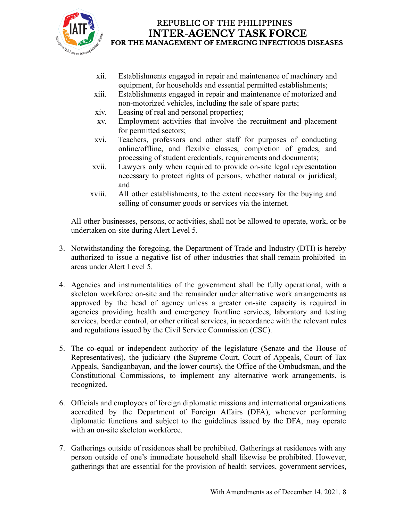

- xii. Establishments engaged in repair and maintenance of machinery and equipment, for households and essential permitted establishments;
- xiii. Establishments engaged in repair and maintenance of motorized and non-motorized vehicles, including the sale of spare parts;
- xiv. Leasing of real and personal properties;
- xv. Employment activities that involve the recruitment and placement for permitted sectors;
- xvi. Teachers, professors and other staff for purposes of conducting online/offline, and flexible classes, completion of grades, and processing of student credentials, requirements and documents;
- xvii. Lawyers only when required to provide on-site legal representation necessary to protect rights of persons, whether natural or juridical; and
- xviii. All other establishments, to the extent necessary for the buying and selling of consumer goods or services via the internet.

All other businesses, persons, or activities, shall not be allowed to operate, work, or be undertaken on-site during Alert Level 5.

- 3. Notwithstanding the foregoing, the Department of Trade and Industry (DTI) is hereby authorized to issue a negative list of other industries that shall remain prohibited in areas under Alert Level 5.
- 4. Agencies and instrumentalities of the government shall be fully operational, with a skeleton workforce on-site and the remainder under alternative work arrangements as approved by the head of agency unless a greater on-site capacity is required in agencies providing health and emergency frontline services, laboratory and testing services, border control, or other critical services, in accordance with the relevant rules and regulations issued by the Civil Service Commission (CSC).
- 5. The co-equal or independent authority of the legislature (Senate and the House of Representatives), the judiciary (the Supreme Court, Court of Appeals, Court of Tax Appeals, Sandiganbayan, and the lower courts), the Office of the Ombudsman, and the Constitutional Commissions, to implement any alternative work arrangements, is recognized.
- 6. Officials and employees of foreign diplomatic missions and international organizations accredited by the Department of Foreign Affairs (DFA), whenever performing diplomatic functions and subject to the guidelines issued by the DFA, may operate with an on-site skeleton workforce.
- 7. Gatherings outside of residences shall be prohibited. Gatherings at residences with any person outside of one's immediate household shall likewise be prohibited. However, gatherings that are essential for the provision of health services, government services,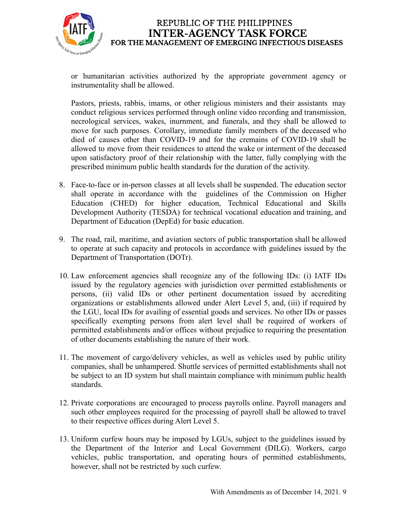

or humanitarian activities authorized by the appropriate government agency or instrumentality shall be allowed.

Pastors, priests, rabbis, imams, or other religious ministers and their assistants may conduct religious services performed through online video recording and transmission, necrological services, wakes, inurnment, and funerals, and they shall be allowed to move for such purposes. Corollary, immediate family members of the deceased who died of causes other than COVID-19 and for the cremains of COVID-19 shall be allowed to move from their residences to attend the wake or interment of the deceased upon satisfactory proof of their relationship with the latter, fully complying with the prescribed minimum public health standards for the duration of the activity.

- 8. Face-to-face or in-person classes at all levels shall be suspended. The education sector shall operate in accordance with the guidelines of the Commission on Higher Education (CHED) for higher education, Technical Educational and Skills Development Authority (TESDA) for technical vocational education and training, and Department of Education (DepEd) for basic education.
- 9. The road, rail, maritime, and aviation sectors of public transportation shall be allowed to operate at such capacity and protocols in accordance with guidelines issued by the Department of Transportation (DOTr).
- 10. Law enforcement agencies shall recognize any of the following IDs: (i) IATF IDs issued by the regulatory agencies with jurisdiction over permitted establishments or persons, (ii) valid IDs or other pertinent documentation issued by accrediting organizations or establishments allowed under Alert Level 5, and, (iii) if required by the LGU, local IDs for availing of essential goods and services. No other IDs or passes specifically exempting persons from alert level shall be required of workers of permitted establishments and/or offices without prejudice to requiring the presentation of other documents establishing the nature of their work.
- 11. The movement of cargo/delivery vehicles, as well as vehicles used by public utility companies, shall be unhampered. Shuttle services of permitted establishments shall not be subject to an ID system but shall maintain compliance with minimum public health standards.
- 12. Private corporations are encouraged to process payrolls online. Payroll managers and such other employees required for the processing of payroll shall be allowed to travel to their respective offices during Alert Level 5.
- 13. Uniform curfew hours may be imposed by LGUs, subject to the guidelines issued by the Department of the Interior and Local Government (DILG). Workers, cargo vehicles, public transportation, and operating hours of permitted establishments, however, shall not be restricted by such curfew.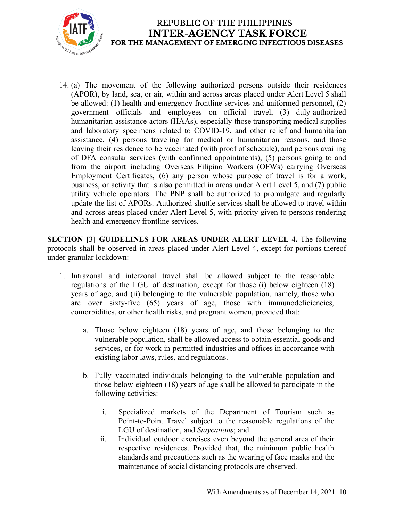

14. (a) The movement of the following authorized persons outside their residences (APOR), by land, sea, or air, within and across areas placed under Alert Level 5 shall be allowed: (1) health and emergency frontline services and uniformed personnel, (2) government officials and employees on official travel, (3) duly-authorized humanitarian assistance actors (HAAs), especially those transporting medical supplies and laboratory specimens related to COVID-19, and other relief and humanitarian assistance, (4) persons traveling for medical or humanitarian reasons, and those leaving their residence to be vaccinated (with proof of schedule), and persons availing of DFA consular services (with confirmed appointments), (5) persons going to and from the airport including Overseas Filipino Workers (OFWs) carrying Overseas Employment Certificates, (6) any person whose purpose of travel is for a work, business, or activity that is also permitted in areas under Alert Level 5, and (7) public utility vehicle operators. The PNP shall be authorized to promulgate and regularly update the list of APORs. Authorized shuttle services shall be allowed to travel within and across areas placed under Alert Level 5, with priority given to persons rendering health and emergency frontline services.

**SECTION [3] GUIDELINES FOR AREAS UNDER ALERT LEVEL 4.** The following protocols shall be observed in areas placed under Alert Level 4, except for portions thereof under granular lockdown:

- 1. Intrazonal and interzonal travel shall be allowed subject to the reasonable regulations of the LGU of destination, except for those (i) below eighteen (18) years of age, and (ii) belonging to the vulnerable population, namely, those who are over sixty-five (65) years of age, those with immunodeficiencies, comorbidities, or other health risks, and pregnant women, provided that:
	- a. Those below eighteen (18) years of age, and those belonging to the vulnerable population, shall be allowed access to obtain essential goods and services, or for work in permitted industries and offices in accordance with existing labor laws, rules, and regulations.
	- b. Fully vaccinated individuals belonging to the vulnerable population and those below eighteen (18) years of age shall be allowed to participate in the following activities:
		- i. Specialized markets of the Department of Tourism such as Point-to-Point Travel subject to the reasonable regulations of the LGU of destination, and *Staycations*; and
		- ii. Individual outdoor exercises even beyond the general area of their respective residences. Provided that, the minimum public health standards and precautions such as the wearing of face masks and the maintenance of social distancing protocols are observed.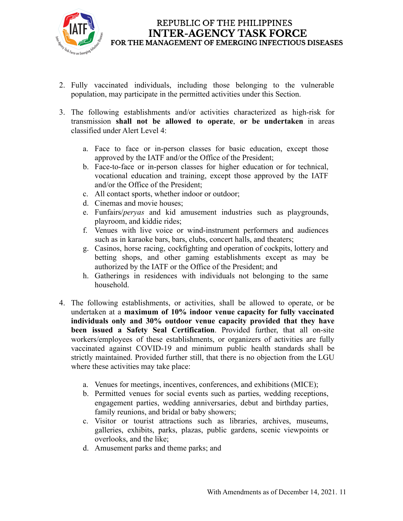

- 2. Fully vaccinated individuals, including those belonging to the vulnerable population, may participate in the permitted activities under this Section.
- 3. The following establishments and/or activities characterized as high-risk for transmission **shall not be allowed to operate**, **or be undertaken** in areas classified under Alert Level 4:
	- a. Face to face or in-person classes for basic education, except those approved by the IATF and/or the Office of the President;
	- b. Face-to-face or in-person classes for higher education or for technical, vocational education and training, except those approved by the IATF and/or the Office of the President;
	- c. All contact sports, whether indoor or outdoor;
	- d. Cinemas and movie houses;
	- e. Funfairs/*peryas* and kid amusement industries such as playgrounds, playroom, and kiddie rides;
	- f. Venues with live voice or wind-instrument performers and audiences such as in karaoke bars, bars, clubs, concert halls, and theaters;
	- g. Casinos, horse racing, cockfighting and operation of cockpits, lottery and betting shops, and other gaming establishments except as may be authorized by the IATF or the Office of the President; and
	- h. Gatherings in residences with individuals not belonging to the same household.
- 4. The following establishments, or activities, shall be allowed to operate, or be undertaken at a **maximum of 10% indoor venue capacity for fully vaccinated individuals only and 30% outdoor venue capacity provided that they have been issued a Safety Seal Certification**. Provided further, that all on-site workers/employees of these establishments, or organizers of activities are fully vaccinated against COVID-19 and minimum public health standards shall be strictly maintained. Provided further still, that there is no objection from the LGU where these activities may take place:
	- a. Venues for meetings, incentives, conferences, and exhibitions (MICE);
	- b. Permitted venues for social events such as parties, wedding receptions, engagement parties, wedding anniversaries, debut and birthday parties, family reunions, and bridal or baby showers;
	- c. Visitor or tourist attractions such as libraries, archives, museums, galleries, exhibits, parks, plazas, public gardens, scenic viewpoints or overlooks, and the like;
	- d. Amusement parks and theme parks; and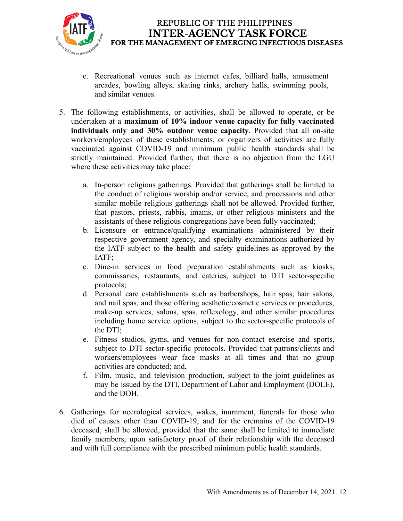

- e. Recreational venues such as internet cafes, billiard halls, amusement arcades, bowling alleys, skating rinks, archery halls, swimming pools, and similar venues.
- 5. The following establishments, or activities, shall be allowed to operate, or be undertaken at a **maximum of 10% indoor venue capacity for fully vaccinated individuals only and 30% outdoor venue capacity**. Provided that all on-site workers/employees of these establishments, or organizers of activities are fully vaccinated against COVID-19 and minimum public health standards shall be strictly maintained. Provided further, that there is no objection from the LGU where these activities may take place:
	- a. In-person religious gatherings. Provided that gatherings shall be limited to the conduct of religious worship and/or service, and processions and other similar mobile religious gatherings shall not be allowed. Provided further, that pastors, priests, rabbis, imams, or other religious ministers and the assistants of these religious congregations have been fully vaccinated;
	- b. Licensure or entrance/qualifying examinations administered by their respective government agency, and specialty examinations authorized by the IATF subject to the health and safety guidelines as approved by the IATF;
	- c. Dine-in services in food preparation establishments such as kiosks, commissaries, restaurants, and eateries, subject to DTI sector-specific protocols;
	- d. Personal care establishments such as barbershops, hair spas, hair salons, and nail spas, and those offering aesthetic/cosmetic services or procedures, make-up services, salons, spas, reflexology, and other similar procedures including home service options, subject to the sector-specific protocols of the DTI;
	- e. Fitness studios, gyms, and venues for non-contact exercise and sports, subject to DTI sector-specific protocols. Provided that patrons/clients and workers/employees wear face masks at all times and that no group activities are conducted; and,
	- f. Film, music, and television production, subject to the joint guidelines as may be issued by the DTI, Department of Labor and Employment (DOLE), and the DOH.
- 6. Gatherings for necrological services, wakes, inurnment, funerals for those who died of causes other than COVID-19, and for the cremains of the COVID-19 deceased, shall be allowed, provided that the same shall be limited to immediate family members, upon satisfactory proof of their relationship with the deceased and with full compliance with the prescribed minimum public health standards.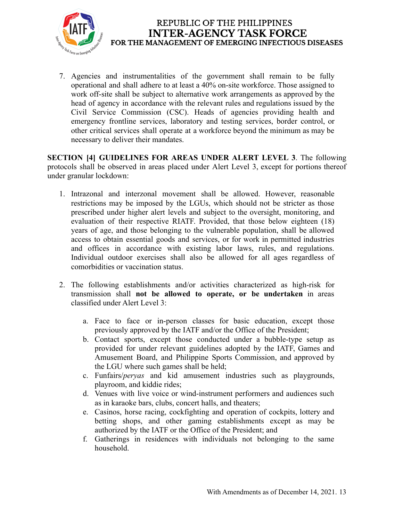

7. Agencies and instrumentalities of the government shall remain to be fully operational and shall adhere to at least a 40% on-site workforce. Those assigned to work off-site shall be subject to alternative work arrangements as approved by the head of agency in accordance with the relevant rules and regulations issued by the Civil Service Commission (CSC). Heads of agencies providing health and emergency frontline services, laboratory and testing services, border control, or other critical services shall operate at a workforce beyond the minimum as may be necessary to deliver their mandates.

**SECTION [4] GUIDELINES FOR AREAS UNDER ALERT LEVEL 3**. The following protocols shall be observed in areas placed under Alert Level 3, except for portions thereof under granular lockdown:

- 1. Intrazonal and interzonal movement shall be allowed. However, reasonable restrictions may be imposed by the LGUs, which should not be stricter as those prescribed under higher alert levels and subject to the oversight, monitoring, and evaluation of their respective RIATF. Provided, that those below eighteen (18) years of age, and those belonging to the vulnerable population, shall be allowed access to obtain essential goods and services, or for work in permitted industries and offices in accordance with existing labor laws, rules, and regulations. Individual outdoor exercises shall also be allowed for all ages regardless of comorbidities or vaccination status.
- 2. The following establishments and/or activities characterized as high-risk for transmission shall **not be allowed to operate, or be undertaken** in areas classified under Alert Level 3:
	- a. Face to face or in-person classes for basic education, except those previously approved by the IATF and/or the Office of the President;
	- b. Contact sports, except those conducted under a bubble-type setup as provided for under relevant guidelines adopted by the IATF, Games and Amusement Board, and Philippine Sports Commission, and approved by the LGU where such games shall be held;
	- c. Funfairs/*peryas* and kid amusement industries such as playgrounds, playroom, and kiddie rides;
	- d. Venues with live voice or wind-instrument performers and audiences such as in karaoke bars, clubs, concert halls, and theaters;
	- e. Casinos, horse racing, cockfighting and operation of cockpits, lottery and betting shops, and other gaming establishments except as may be authorized by the IATF or the Office of the President; and
	- f. Gatherings in residences with individuals not belonging to the same household.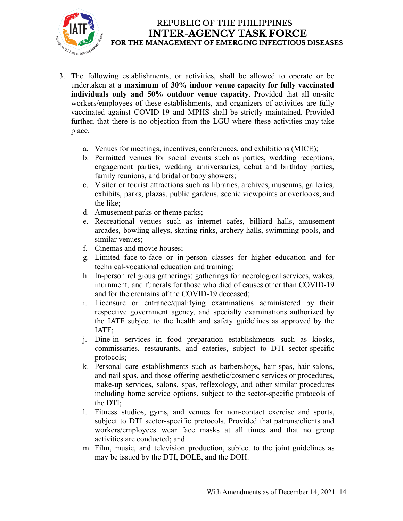

- 3. The following establishments, or activities, shall be allowed to operate or be undertaken at a **maximum of 30% indoor venue capacity for fully vaccinated individuals only and 50% outdoor venue capacity**. Provided that all on-site workers/employees of these establishments, and organizers of activities are fully vaccinated against COVID-19 and MPHS shall be strictly maintained. Provided further, that there is no objection from the LGU where these activities may take place.
	- a. Venues for meetings, incentives, conferences, and exhibitions (MICE);
	- b. Permitted venues for social events such as parties, wedding receptions, engagement parties, wedding anniversaries, debut and birthday parties, family reunions, and bridal or baby showers;
	- c. Visitor or tourist attractions such as libraries, archives, museums, galleries, exhibits, parks, plazas, public gardens, scenic viewpoints or overlooks, and the like;
	- d. Amusement parks or theme parks;
	- e. Recreational venues such as internet cafes, billiard halls, amusement arcades, bowling alleys, skating rinks, archery halls, swimming pools, and similar venues;
	- f. Cinemas and movie houses;
	- g. Limited face-to-face or in-person classes for higher education and for technical-vocational education and training;
	- h. In-person religious gatherings; gatherings for necrological services, wakes, inurnment, and funerals for those who died of causes other than COVID-19 and for the cremains of the COVID-19 deceased;
	- i. Licensure or entrance/qualifying examinations administered by their respective government agency, and specialty examinations authorized by the IATF subject to the health and safety guidelines as approved by the IATF;
	- j. Dine-in services in food preparation establishments such as kiosks, commissaries, restaurants, and eateries, subject to DTI sector-specific protocols;
	- k. Personal care establishments such as barbershops, hair spas, hair salons, and nail spas, and those offering aesthetic/cosmetic services or procedures, make-up services, salons, spas, reflexology, and other similar procedures including home service options, subject to the sector-specific protocols of the DTI;
	- l. Fitness studios, gyms, and venues for non-contact exercise and sports, subject to DTI sector-specific protocols. Provided that patrons/clients and workers/employees wear face masks at all times and that no group activities are conducted; and
	- m. Film, music, and television production, subject to the joint guidelines as may be issued by the DTI, DOLE, and the DOH.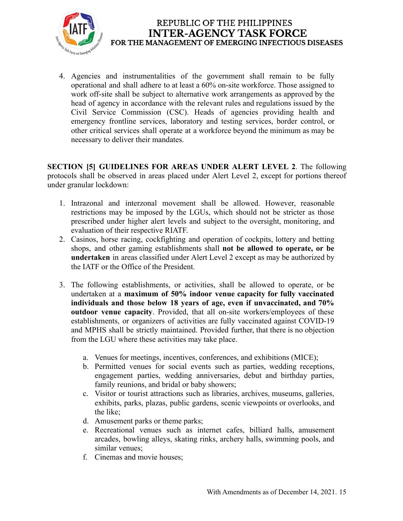

4. Agencies and instrumentalities of the government shall remain to be fully operational and shall adhere to at least a 60% on-site workforce. Those assigned to work off-site shall be subject to alternative work arrangements as approved by the head of agency in accordance with the relevant rules and regulations issued by the Civil Service Commission (CSC). Heads of agencies providing health and emergency frontline services, laboratory and testing services, border control, or other critical services shall operate at a workforce beyond the minimum as may be necessary to deliver their mandates.

**SECTION [5] GUIDELINES FOR AREAS UNDER ALERT LEVEL 2**. The following protocols shall be observed in areas placed under Alert Level 2, except for portions thereof under granular lockdown:

- 1. Intrazonal and interzonal movement shall be allowed. However, reasonable restrictions may be imposed by the LGUs, which should not be stricter as those prescribed under higher alert levels and subject to the oversight, monitoring, and evaluation of their respective RIATF.
- 2. Casinos, horse racing, cockfighting and operation of cockpits, lottery and betting shops, and other gaming establishments shall **not be allowed to operate, or be undertaken** in areas classified under Alert Level 2 except as may be authorized by the IATF or the Office of the President.
- 3. The following establishments, or activities, shall be allowed to operate, or be undertaken at a **maximum of 50% indoor venue capacity for fully vaccinated individuals and those below 18 years of age, even if unvaccinated, and 70% outdoor venue capacity**. Provided, that all on-site workers/employees of these establishments, or organizers of activities are fully vaccinated against COVID-19 and MPHS shall be strictly maintained. Provided further, that there is no objection from the LGU where these activities may take place.
	- a. Venues for meetings, incentives, conferences, and exhibitions (MICE);
	- b. Permitted venues for social events such as parties, wedding receptions, engagement parties, wedding anniversaries, debut and birthday parties, family reunions, and bridal or baby showers;
	- c. Visitor or tourist attractions such as libraries, archives, museums, galleries, exhibits, parks, plazas, public gardens, scenic viewpoints or overlooks, and the like;
	- d. Amusement parks or theme parks;
	- e. Recreational venues such as internet cafes, billiard halls, amusement arcades, bowling alleys, skating rinks, archery halls, swimming pools, and similar venues;
	- f. Cinemas and movie houses;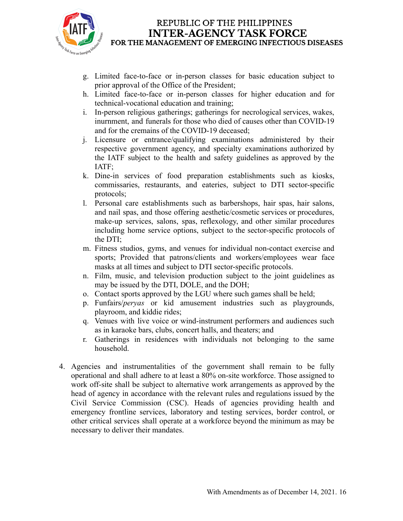

- g. Limited face-to-face or in-person classes for basic education subject to prior approval of the Office of the President;
- h. Limited face-to-face or in-person classes for higher education and for technical-vocational education and training;
- i. In-person religious gatherings; gatherings for necrological services, wakes, inurnment, and funerals for those who died of causes other than COVID-19 and for the cremains of the COVID-19 deceased;
- j. Licensure or entrance/qualifying examinations administered by their respective government agency, and specialty examinations authorized by the IATF subject to the health and safety guidelines as approved by the IATF;
- k. Dine-in services of food preparation establishments such as kiosks, commissaries, restaurants, and eateries, subject to DTI sector-specific protocols;
- l. Personal care establishments such as barbershops, hair spas, hair salons, and nail spas, and those offering aesthetic/cosmetic services or procedures, make-up services, salons, spas, reflexology, and other similar procedures including home service options, subject to the sector-specific protocols of the DTI;
- m. Fitness studios, gyms, and venues for individual non-contact exercise and sports; Provided that patrons/clients and workers/employees wear face masks at all times and subject to DTI sector-specific protocols.
- n. Film, music, and television production subject to the joint guidelines as may be issued by the DTI, DOLE, and the DOH;
- o. Contact sports approved by the LGU where such games shall be held;
- p. Funfairs/*peryas* or kid amusement industries such as playgrounds, playroom, and kiddie rides;
- q. Venues with live voice or wind-instrument performers and audiences such as in karaoke bars, clubs, concert halls, and theaters; and
- r. Gatherings in residences with individuals not belonging to the same household.
- 4. Agencies and instrumentalities of the government shall remain to be fully operational and shall adhere to at least a 80% on-site workforce. Those assigned to work off-site shall be subject to alternative work arrangements as approved by the head of agency in accordance with the relevant rules and regulations issued by the Civil Service Commission (CSC). Heads of agencies providing health and emergency frontline services, laboratory and testing services, border control, or other critical services shall operate at a workforce beyond the minimum as may be necessary to deliver their mandates.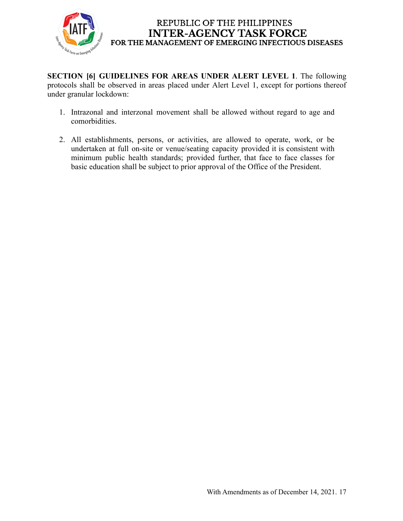

**SECTION [6] GUIDELINES FOR AREAS UNDER ALERT LEVEL 1**. The following protocols shall be observed in areas placed under Alert Level 1, except for portions thereof under granular lockdown:

- 1. Intrazonal and interzonal movement shall be allowed without regard to age and comorbidities.
- 2. All establishments, persons, or activities, are allowed to operate, work, or be undertaken at full on-site or venue/seating capacity provided it is consistent with minimum public health standards; provided further, that face to face classes for basic education shall be subject to prior approval of the Office of the President.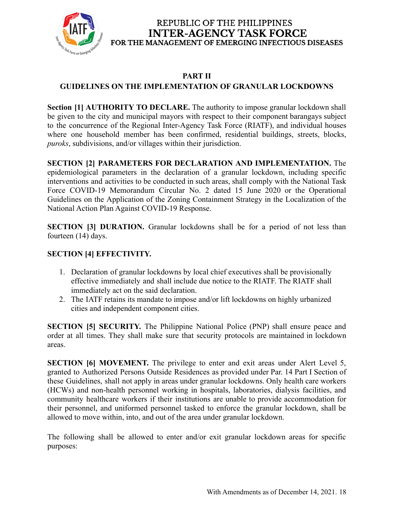

# **PART II**

# **GUIDELINES ON THE IMPLEMENTATION OF GRANULAR LOCKDOWNS**

**Section [1] AUTHORITY TO DECLARE.** The authority to impose granular lockdown shall be given to the city and municipal mayors with respect to their component barangays subject to the concurrence of the Regional Inter-Agency Task Force (RIATF), and individual houses where one household member has been confirmed, residential buildings, streets, blocks, *puroks*, subdivisions, and/or villages within their jurisdiction.

**SECTION [2] PARAMETERS FOR DECLARATION AND IMPLEMENTATION.** The epidemiological parameters in the declaration of a granular lockdown, including specific interventions and activities to be conducted in such areas, shall comply with the National Task Force COVID-19 Memorandum Circular No. 2 dated 15 June 2020 or the Operational Guidelines on the Application of the Zoning Containment Strategy in the Localization of the National Action Plan Against COVID-19 Response.

**SECTION [3] DURATION.** Granular lockdowns shall be for a period of not less than fourteen (14) days.

# **SECTION [4] EFFECTIVITY.**

- 1. Declaration of granular lockdowns by local chief executives shall be provisionally effective immediately and shall include due notice to the RIATF. The RIATF shall immediately act on the said declaration.
- 2. The IATF retains its mandate to impose and/or lift lockdowns on highly urbanized cities and independent component cities.

**SECTION [5] SECURITY.** The Philippine National Police (PNP) shall ensure peace and order at all times. They shall make sure that security protocols are maintained in lockdown areas.

**SECTION [6] MOVEMENT.** The privilege to enter and exit areas under Alert Level 5, granted to Authorized Persons Outside Residences as provided under Par. 14 Part I Section of these Guidelines, shall not apply in areas under granular lockdowns. Only health care workers (HCWs) and non-health personnel working in hospitals, laboratories, dialysis facilities, and community healthcare workers if their institutions are unable to provide accommodation for their personnel, and uniformed personnel tasked to enforce the granular lockdown, shall be allowed to move within, into, and out of the area under granular lockdown.

The following shall be allowed to enter and/or exit granular lockdown areas for specific purposes: